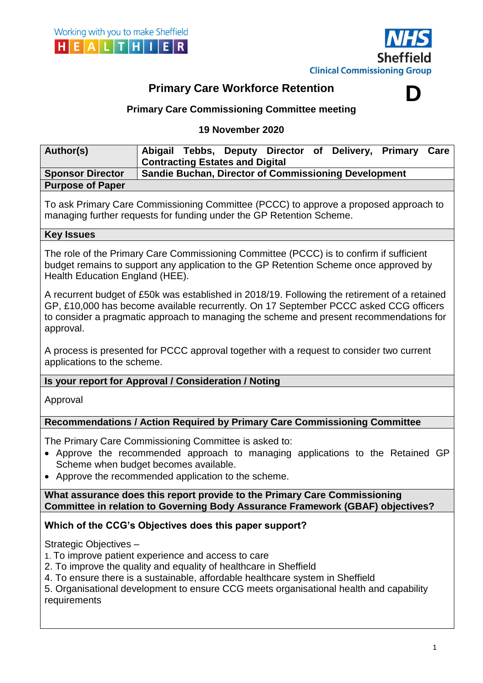

**D**

# **Primary Care Workforce Retention**

## **Primary Care Commissioning Committee meeting**

### **19 November 2020**

| Author(s)               |                                                             |  |  |  |  | Abigail Tebbs, Deputy Director of Delivery, Primary Care |  |
|-------------------------|-------------------------------------------------------------|--|--|--|--|----------------------------------------------------------|--|
|                         | <b>Contracting Estates and Digital</b>                      |  |  |  |  |                                                          |  |
| <b>Sponsor Director</b> | <b>Sandie Buchan, Director of Commissioning Development</b> |  |  |  |  |                                                          |  |
| <b>Purpose of Paper</b> |                                                             |  |  |  |  |                                                          |  |

To ask Primary Care Commissioning Committee (PCCC) to approve a proposed approach to managing further requests for funding under the GP Retention Scheme.

#### **Key Issues**

The role of the Primary Care Commissioning Committee (PCCC) is to confirm if sufficient budget remains to support any application to the GP Retention Scheme once approved by Health Education England (HEE).

A recurrent budget of £50k was established in 2018/19. Following the retirement of a retained GP, £10,000 has become available recurrently. On 17 September PCCC asked CCG officers to consider a pragmatic approach to managing the scheme and present recommendations for approval.

A process is presented for PCCC approval together with a request to consider two current applications to the scheme.

**Is your report for Approval / Consideration / Noting**

Approval

## **Recommendations / Action Required by Primary Care Commissioning Committee**

The Primary Care Commissioning Committee is asked to:

- Approve the recommended approach to managing applications to the Retained GP Scheme when budget becomes available.
- Approve the recommended application to the scheme.

**What assurance does this report provide to the Primary Care Commissioning Committee in relation to Governing Body Assurance Framework (GBAF) objectives?**

## **Which of the CCG's Objectives does this paper support?**

Strategic Objectives –

- 1. To improve patient experience and access to care
- 2. To improve the quality and equality of healthcare in Sheffield
- 4. To ensure there is a sustainable, affordable healthcare system in Sheffield

5. Organisational development to ensure CCG meets organisational health and capability requirements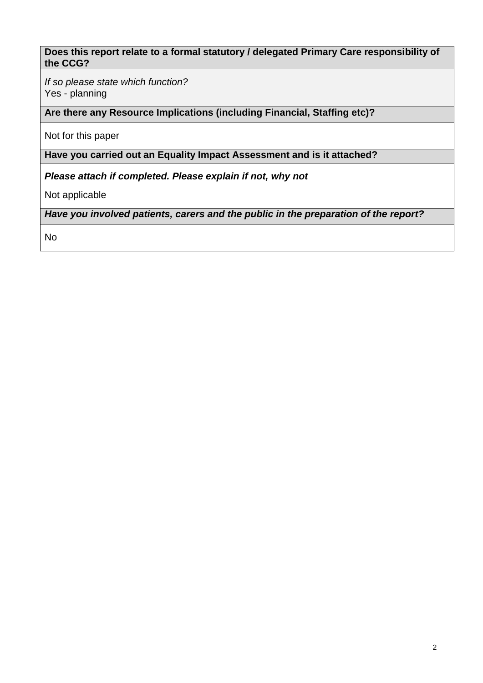### **Does this report relate to a formal statutory / delegated Primary Care responsibility of the CCG?**

*If so please state which function?* Yes - planning

**Are there any Resource Implications (including Financial, Staffing etc)?**

Not for this paper

**Have you carried out an Equality Impact Assessment and is it attached?**

*Please attach if completed. Please explain if not, why not*

Not applicable

*Have you involved patients, carers and the public in the preparation of the report?* 

No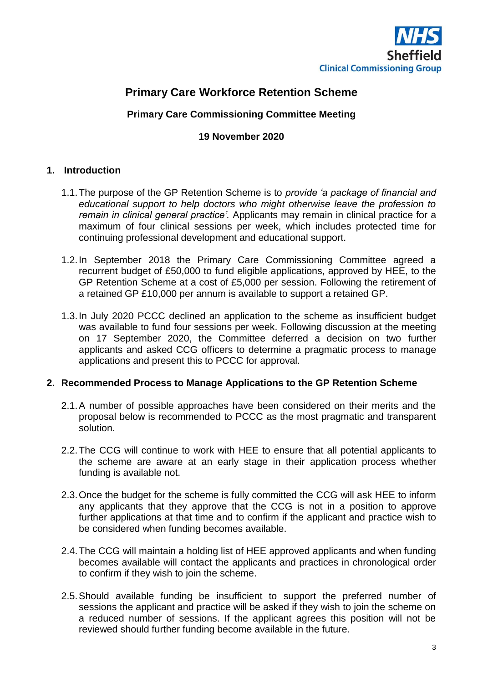

## **Primary Care Workforce Retention Scheme**

## **Primary Care Commissioning Committee Meeting**

### **19 November 2020**

### **1. Introduction**

- 1.1.The purpose of the GP Retention Scheme is to *provide 'a package of financial and educational support to help doctors who might otherwise leave the profession to remain in clinical general practice'.* Applicants may remain in clinical practice for a maximum of four clinical sessions per week, which includes protected time for continuing professional development and educational support.
- 1.2.In September 2018 the Primary Care Commissioning Committee agreed a recurrent budget of £50,000 to fund eligible applications, approved by HEE, to the GP Retention Scheme at a cost of £5,000 per session. Following the retirement of a retained GP £10,000 per annum is available to support a retained GP.
- 1.3.In July 2020 PCCC declined an application to the scheme as insufficient budget was available to fund four sessions per week. Following discussion at the meeting on 17 September 2020, the Committee deferred a decision on two further applicants and asked CCG officers to determine a pragmatic process to manage applications and present this to PCCC for approval.

#### **2. Recommended Process to Manage Applications to the GP Retention Scheme**

- 2.1.A number of possible approaches have been considered on their merits and the proposal below is recommended to PCCC as the most pragmatic and transparent solution.
- 2.2.The CCG will continue to work with HEE to ensure that all potential applicants to the scheme are aware at an early stage in their application process whether funding is available not.
- 2.3.Once the budget for the scheme is fully committed the CCG will ask HEE to inform any applicants that they approve that the CCG is not in a position to approve further applications at that time and to confirm if the applicant and practice wish to be considered when funding becomes available.
- 2.4.The CCG will maintain a holding list of HEE approved applicants and when funding becomes available will contact the applicants and practices in chronological order to confirm if they wish to join the scheme.
- 2.5.Should available funding be insufficient to support the preferred number of sessions the applicant and practice will be asked if they wish to join the scheme on a reduced number of sessions. If the applicant agrees this position will not be reviewed should further funding become available in the future.